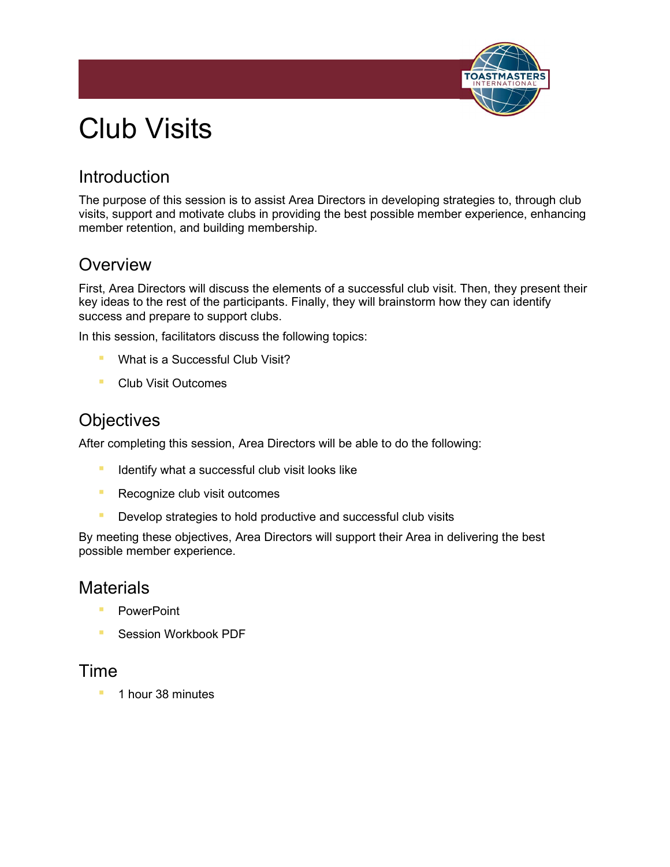

# Club Visits

# **Introduction**

The purpose of this session is to assist Area Directors in developing strategies to, through club visits, support and motivate clubs in providing the best possible member experience, enhancing member retention, and building membership.

### **Overview**

First, Area Directors will discuss the elements of a successful club visit. Then, they present their key ideas to the rest of the participants. Finally, they will brainstorm how they can identify success and prepare to support clubs.

In this session, facilitators discuss the following topics:

- **E** What is a Successful Club Visit?
- Club Visit Outcomes

## **Objectives**

After completing this session, Area Directors will be able to do the following:

- **E** Identify what a successful club visit looks like
- **Recognize club visit outcomes**
- **E** Develop strategies to hold productive and successful club visits

By meeting these objectives, Area Directors will support their Area in delivering the best possible member experience.

### **Materials**

- PowerPoint
- Session Workbook PDF

#### Time

1 hour 38 minutes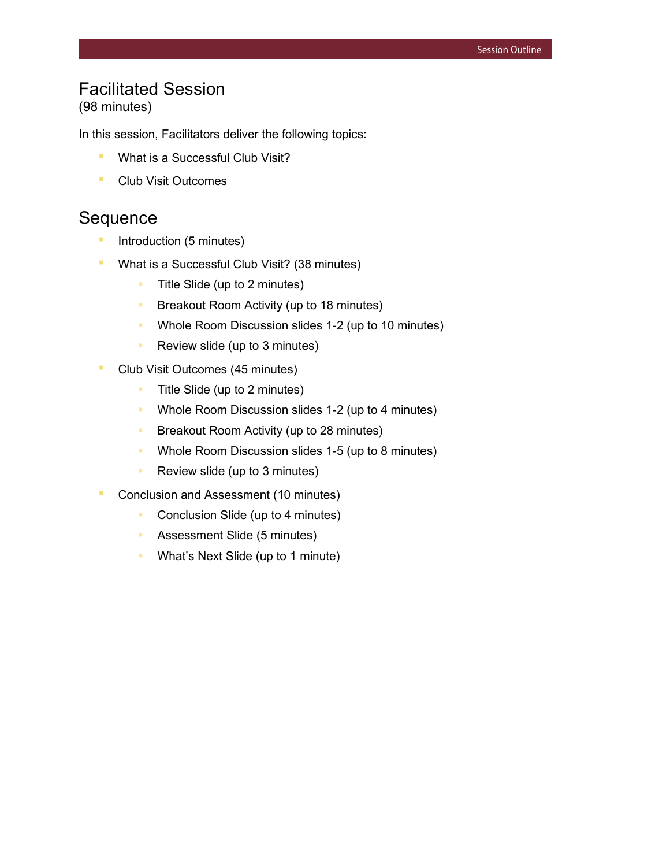# Facilitated Session

(98 minutes)

In this session, Facilitators deliver the following topics:

- What is a Successful Club Visit?
- Club Visit Outcomes

### **Sequence**

- **E** Introduction (5 minutes)
- **What is a Successful Club Visit? (38 minutes)** 
	- $\blacksquare$  Title Slide (up to 2 minutes)
	- **Breakout Room Activity (up to 18 minutes)**
	- Whole Room Discussion slides 1-2 (up to 10 minutes)
	- **Review slide (up to 3 minutes)**
- **Club Visit Outcomes (45 minutes)** 
	- **Title Slide (up to 2 minutes)**
	- Whole Room Discussion slides 1-2 (up to 4 minutes)
	- **Breakout Room Activity (up to 28 minutes)**
	- **Whole Room Discussion slides 1-5 (up to 8 minutes)**
	- **Review slide (up to 3 minutes)**
- Conclusion and Assessment (10 minutes)
	- **Conclusion Slide (up to 4 minutes)**
	- **Assessment Slide (5 minutes)**
	- **What's Next Slide (up to 1 minute)**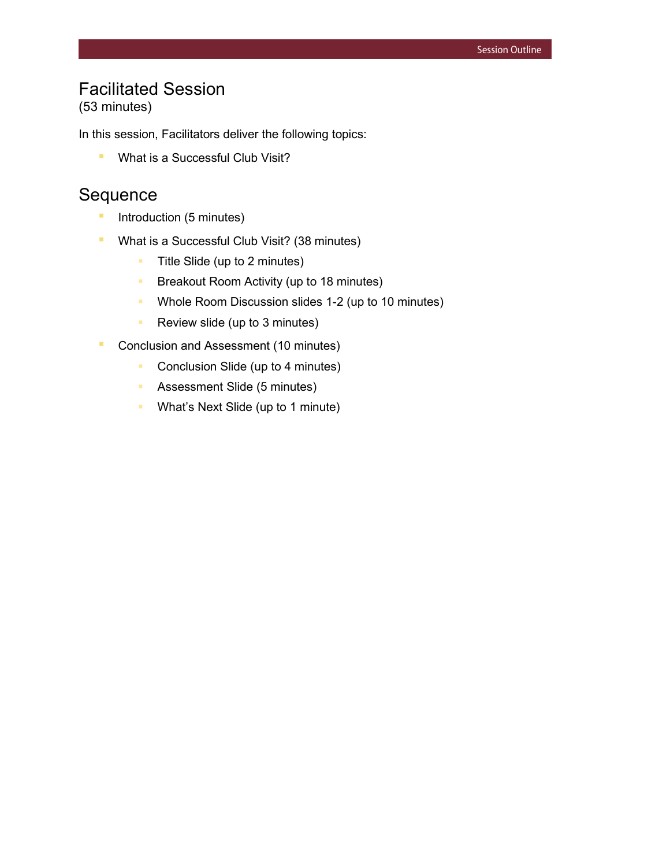# Facilitated Session

(53 minutes)

In this session, Facilitators deliver the following topics:

**E** What is a Successful Club Visit?

### Sequence

- **•** Introduction (5 minutes)
- **What is a Successful Club Visit? (38 minutes)** 
	- **Title Slide (up to 2 minutes)**
	- **Breakout Room Activity (up to 18 minutes)**
	- **Whole Room Discussion slides 1-2 (up to 10 minutes)**
	- Review slide (up to 3 minutes)
- Conclusion and Assessment (10 minutes)
	- **Conclusion Slide (up to 4 minutes)**
	- **Assessment Slide (5 minutes)**
	- What's Next Slide (up to 1 minute)